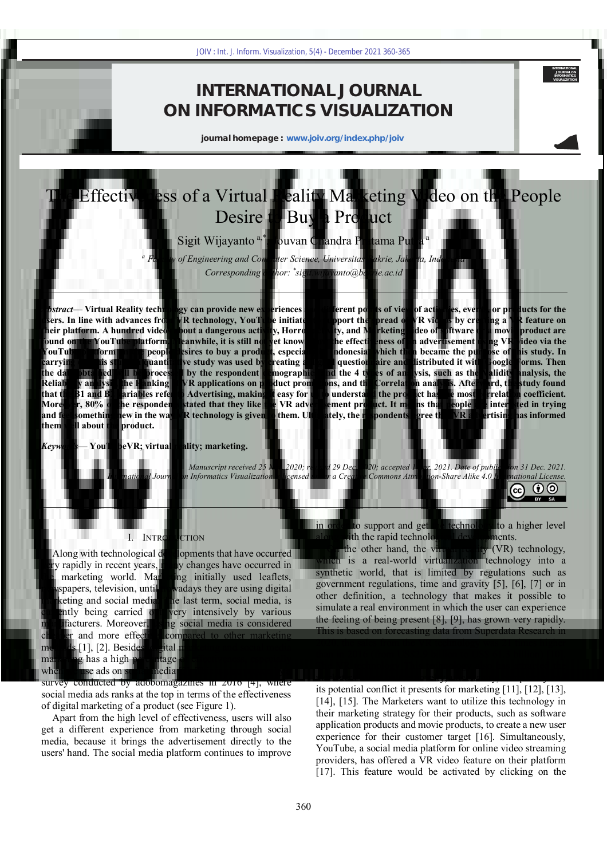## **INTERNATIONAL JOURNAL ON INFORMATICS VISUALIZATION**

**journal homepage : www.joiv.org/index.php/joiv**

# The Effectiveness of a Virtual Reality Marketing Video on the People Desire to Buy a Product

Sigit Wijayanto<sup>a,\*</sup>, Jouvan Chandra Pratama Putra<sup>a</sup>

*a Faculty of Engineering and Computer Science, Universitas Bakrie, Jakarta, Indonesia Corresponding author: \* sigit.wijayanto@bakrie.ac.id* 

*Abstract*— **Virtual Reality technology can provide new experiences and different points of view of activities, events, or products for the users. In line with advances from VR technology, YouTube initiates to support the spread of VR videos by creating a VR feature on their platform. A hundred videos about a dangerous activity, Horror activity, and Marketing video of software or a movie product are found on the YouTube platform. Meanwhile, it is still not yet known how the effectiveness of an advertisement using VR video via the YouTube platform on the people desires to buy a product, especially in Indonesia, which then became the purpose of this study. In carrying out this study, a quantitative study was used by creating a digital questionnaire and distributed it with Google Forms. Then the data obtained will be processed by the respondent demographics and the 4 types of analysis, such as the Validity analysis, the Reliability analysis, the Ranking of VR applications on product promotions, and the Correlation analysis. Afterward, the study found that the B1 and B2 variables refer to Advertising, making it easy for us to understand the product has the most correlation coefficient. Moreover, 80% of the respondents stated that they like the VR advertisement product. It means that people are interested in trying and feel something new in the way VR technology is given to them. Ultimately, the respondents agree that VR advertising has informed them well about the product.** 360 Jones Int. J. Inform. Visualization, 5(4) - December 2021 360-365<br>
1 NTERNATIONAL JOURNA<br>
2 JOURNATION SUNDALIZA<br>
2 JOURNATION SUNDALIZA<br>
2 JOURNATION SUNDALIZA<br>
2 JOURNATION SUNDALIZA<br>
2 JOURNATION SUNDALIZA<br>
2 VITUA

*Keywords*— **YouTubeVR; virtual reality; marketing.** 

*Manuscript received 25 Nov. 2020; revised 29 Dec. 2020; accepted 1 Apr. 2021. Date of publication 31 Dec. 2021. International Journal on Informatics Visualization is licensed under a Creative Commons Attribution-Share Alike 4.0 International License.*  $\odot$   $\odot$ (cc

#### I. INTRODUCTION

Along with technological developments that have occurred very rapidly in recent years, many changes have occurred in the marketing world. Marketing initially used leaflets, newspapers, television, until nowadays they are using digital marketing and social media. The last term, social media, is currently being carried out very intensively by various manufacturers. Moreover, using social media is considered cheaper and more effective compared to other marketing methods [1], [2]. Besides, digital marketing and social media marketing has a high percentage of effectiveness, especially when we use ads on social media [3]. This is also proven by a survey conducted by adobomagazines in 2016 [4], where social media ads ranks at the top in terms of the effectiveness of digital marketing of a product (see Figure 1).

Apart from the high level of effectiveness, users will also get a different experience from marketing through social media, because it brings the advertisement directly to the users' hand. The social media platform continues to improve

in order to support and get the technology to a higher level along with the rapid technological developments.

**INTERNATIONAL JOURNAL ON INFORMATICS VISUALIZATION**

BY SA

On the other hand, the virtual reality (VR) technology, which is a real-world virtualization technology into a synthetic world, that is limited by regulations such as government regulations, time and gravity [5], [6], [7] or in other definition, a technology that makes it possible to simulate a real environment in which the user can experience the feeling of being present [8], [9], has grown very rapidly. This is based on forecasting data from Superdata Research in 2020, the sales from the VR technology was 21 times higher than in 2016 (from US\$2.9 billion to US\$ 61.3 billion) [10]. The VR technology This technology also has attracted the marketers based on the novelty, uncertainty, complexity and its potential conflict it presents for marketing [11], [12], [13], [14], [15]. The Marketers want to utilize this technology in their marketing strategy for their products, such as software application products and movie products, to create a new user experience for their customer target [16]. Simultaneously, YouTube, a social media platform for online video streaming providers, has offered a VR video feature on their platform [17]. This feature would be activated by clicking on the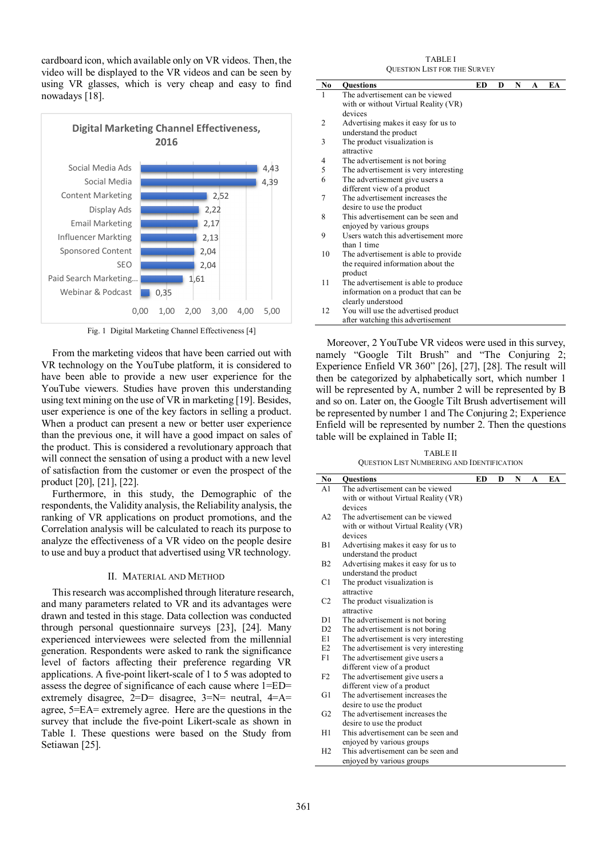cardboard icon, which available only on VR videos. Then, the video will be displayed to the VR videos and can be seen by using VR glasses, which is very cheap and easy to find nowadays [18].



Fig. 1 Digital Marketing Channel Effectiveness [4]

From the marketing videos that have been carried out with VR technology on the YouTube platform, it is considered to have been able to provide a new user experience for the YouTube viewers. Studies have proven this understanding using text mining on the use of VR in marketing [19]. Besides, user experience is one of the key factors in selling a product. When a product can present a new or better user experience than the previous one, it will have a good impact on sales of the product. This is considered a revolutionary approach that will connect the sensation of using a product with a new level of satisfaction from the customer or even the prospect of the product [20], [21], [22].

Furthermore, in this study, the Demographic of the respondents, the Validity analysis, the Reliability analysis, the ranking of VR applications on product promotions, and the Correlation analysis will be calculated to reach its purpose to analyze the effectiveness of a VR video on the people desire to use and buy a product that advertised using VR technology.

#### II. MATERIAL AND METHOD

This research was accomplished through literature research, and many parameters related to VR and its advantages were drawn and tested in this stage. Data collection was conducted through personal questionnaire surveys [23], [24]. Many experienced interviewees were selected from the millennial generation. Respondents were asked to rank the significance level of factors affecting their preference regarding VR applications. A five-point likert-scale of 1 to 5 was adopted to assess the degree of significance of each cause where 1=ED= extremely disagree,  $2=D=$  disagree,  $3=N=$  neutral,  $4=A=$ agree, 5=EA= extremely agree. Here are the questions in the survey that include the five-point Likert-scale as shown in Table I. These questions were based on the Study from Setiawan [25].

| <b>TABLEI</b>                       |
|-------------------------------------|
| <b>OUESTION LIST FOR THE SURVEY</b> |

| No | <b>Ouestions</b>                      | ED | D | N | A | EA |
|----|---------------------------------------|----|---|---|---|----|
| 1  | The advertisement can be viewed       |    |   |   |   |    |
|    | with or without Virtual Reality (VR)  |    |   |   |   |    |
|    | devices                               |    |   |   |   |    |
| 2  | Advertising makes it easy for us to   |    |   |   |   |    |
|    | understand the product                |    |   |   |   |    |
| 3  | The product visualization is          |    |   |   |   |    |
|    | attractive                            |    |   |   |   |    |
| 4  | The advertisement is not boring       |    |   |   |   |    |
| 5  | The advertisement is very interesting |    |   |   |   |    |
| 6  | The advertisement give users a        |    |   |   |   |    |
|    | different view of a product           |    |   |   |   |    |
| 7  | The advertisement increases the       |    |   |   |   |    |
|    | desire to use the product             |    |   |   |   |    |
| 8  | This advertisement can be seen and    |    |   |   |   |    |
|    | enjoyed by various groups             |    |   |   |   |    |
| 9  | Users watch this advertisement more   |    |   |   |   |    |
|    | than 1 time                           |    |   |   |   |    |
| 10 | The advertisement is able to provide  |    |   |   |   |    |
|    | the required information about the    |    |   |   |   |    |
|    | product                               |    |   |   |   |    |
| 11 | The advertisement is able to produce  |    |   |   |   |    |
|    | information on a product that can be  |    |   |   |   |    |
|    | clearly understood                    |    |   |   |   |    |
| 12 | You will use the advertised product   |    |   |   |   |    |
|    | after watching this advertisement     |    |   |   |   |    |

Moreover, 2 YouTube VR videos were used in this survey, namely "Google Tilt Brush" and "The Conjuring 2; Experience Enfield VR 360" [26], [27], [28]. The result will then be categorized by alphabetically sort, which number 1 will be represented by A, number 2 will be represented by B and so on. Later on, the Google Tilt Brush advertisement will be represented by number 1 and The Conjuring 2; Experience Enfield will be represented by number 2. Then the questions table will be explained in Table II;

TABLE II QUESTION LIST NUMBERING AND IDENTIFICATION

| No             | <b>Ouestions</b>                      | ED | D | N | A | EA |
|----------------|---------------------------------------|----|---|---|---|----|
| A <sub>1</sub> | The advertisement can be viewed       |    |   |   |   |    |
|                | with or without Virtual Reality (VR)  |    |   |   |   |    |
|                | devices                               |    |   |   |   |    |
| A2             | The advertisement can be viewed       |    |   |   |   |    |
|                | with or without Virtual Reality (VR)  |    |   |   |   |    |
|                | devices                               |    |   |   |   |    |
| B1             | Advertising makes it easy for us to   |    |   |   |   |    |
|                | understand the product                |    |   |   |   |    |
| B2             | Advertising makes it easy for us to   |    |   |   |   |    |
|                | understand the product                |    |   |   |   |    |
| C1             | The product visualization is          |    |   |   |   |    |
|                | attractive                            |    |   |   |   |    |
| C <sub>2</sub> | The product visualization is          |    |   |   |   |    |
|                | attractive                            |    |   |   |   |    |
| D1             | The advertisement is not boring       |    |   |   |   |    |
| D2             | The advertisement is not boring       |    |   |   |   |    |
| E1             | The advertisement is very interesting |    |   |   |   |    |
| E2             | The advertisement is very interesting |    |   |   |   |    |
| F1             | The advertisement give users a        |    |   |   |   |    |
|                | different view of a product           |    |   |   |   |    |
| F2             | The advertisement give users a        |    |   |   |   |    |
|                | different view of a product           |    |   |   |   |    |
| G1             | The advertisement increases the       |    |   |   |   |    |
|                | desire to use the product             |    |   |   |   |    |
| G2             | The advertisement increases the       |    |   |   |   |    |
|                | desire to use the product             |    |   |   |   |    |
| H1             | This advertisement can be seen and    |    |   |   |   |    |
|                | enjoyed by various groups             |    |   |   |   |    |
| H <sub>2</sub> | This advertisement can be seen and    |    |   |   |   |    |
|                | enjoyed by various groups             |    |   |   |   |    |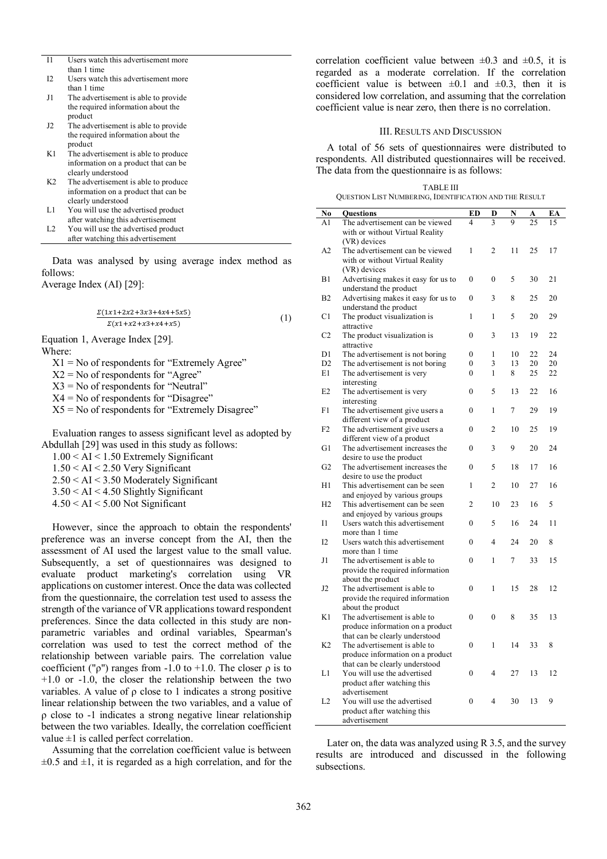| $_{11}$        | Users watch this advertisement more  |
|----------------|--------------------------------------|
|                | than 1 time                          |
| 12             | Users watch this advertisement more  |
|                | than 1 time                          |
| J1             | The advertisement is able to provide |
|                | the required information about the   |
|                | product                              |
| J2             | The advertisement is able to provide |
|                | the required information about the   |
|                | product                              |
| K1             | The advertisement is able to produce |
|                | information on a product that can be |
|                | clearly understood                   |
| K2             | The advertisement is able to produce |
|                | information on a product that can be |
|                | clearly understood                   |
| Ll             | You will use the advertised product  |
|                | after watching this advertisement    |
| L <sub>2</sub> | You will use the advertised product  |
|                | after watching this advertisement    |

Data was analysed by using average index method as follows:

Average Index (AI) [29]:

 $\Sigma(1x1+2x2+3x3+4x4+5x5)$  $\Sigma(x1+x2+x3+x4+x5)$ (1)

Equation 1, Average Index [29]. Where:

 $X1 = No$  of respondents for "Extremely Agree"

 $X2 = No$  of respondents for "Agree"

 $X3 = No$  of respondents for "Neutral"

 $X4 = No$  of respondents for "Disagree"

 $X5 = No$  of respondents for "Extremely Disagree"

Evaluation ranges to assess significant level as adopted by Abdullah [29] was used in this study as follows:

1.00 < AI < 1.50 Extremely Significant

1.50 < AI < 2.50 Very Significant

2.50 < AI < 3.50 Moderately Significant

3.50 < AI < 4.50 Slightly Significant

 $4.50 < AI < 5.00$  Not Significant

However, since the approach to obtain the respondents' preference was an inverse concept from the AI, then the assessment of AI used the largest value to the small value. Subsequently, a set of questionnaires was designed to evaluate product marketing's correlation using VR applications on customer interest. Once the data was collected from the questionnaire, the correlation test used to assess the strength of the variance of VR applications toward respondent preferences. Since the data collected in this study are nonparametric variables and ordinal variables, Spearman's correlation was used to test the correct method of the relationship between variable pairs. The correlation value coefficient (" $\rho$ ") ranges from -1.0 to +1.0. The closer  $\rho$  is to +1.0 or -1.0, the closer the relationship between the two variables. A value of  $\rho$  close to 1 indicates a strong positive linear relationship between the two variables, and a value of ρ close to -1 indicates a strong negative linear relationship between the two variables. Ideally, the correlation coefficient value  $\pm 1$  is called perfect correlation.

Assuming that the correlation coefficient value is between  $\pm 0.5$  and  $\pm 1$ , it is regarded as a high correlation, and for the correlation coefficient value between  $\pm 0.3$  and  $\pm 0.5$ , it is regarded as a moderate correlation. If the correlation coefficient value is between  $\pm 0.1$  and  $\pm 0.3$ , then it is considered low correlation, and assuming that the correlation coefficient value is near zero, then there is no correlation.

#### III. RESULTS AND DISCUSSION

A total of 56 sets of questionnaires were distributed to respondents. All distributed questionnaires will be received. The data from the questionnaire is as follows:

| <b>TABLE III</b>                                       |
|--------------------------------------------------------|
| QUESTION LIST NUMBERING, IDENTIFICATION AND THE RESULT |

| EА<br>15<br>17<br>21<br>20<br>29<br>22 |
|----------------------------------------|
|                                        |
|                                        |
|                                        |
|                                        |
|                                        |
|                                        |
|                                        |
|                                        |
|                                        |
|                                        |
|                                        |
|                                        |
|                                        |
|                                        |
| 24                                     |
| 20                                     |
| 22                                     |
|                                        |
| 16                                     |
| 19                                     |
|                                        |
| 19                                     |
|                                        |
| 24                                     |
|                                        |
| 16                                     |
|                                        |
| 16                                     |
|                                        |
|                                        |
|                                        |
| 11                                     |
|                                        |
|                                        |
| 15                                     |
|                                        |
|                                        |
|                                        |
| 12                                     |
|                                        |
|                                        |
| 13                                     |
|                                        |
|                                        |
|                                        |
|                                        |
|                                        |
| 12                                     |
|                                        |
|                                        |
|                                        |
|                                        |

Later on, the data was analyzed using R 3.5, and the survey results are introduced and discussed in the following subsections.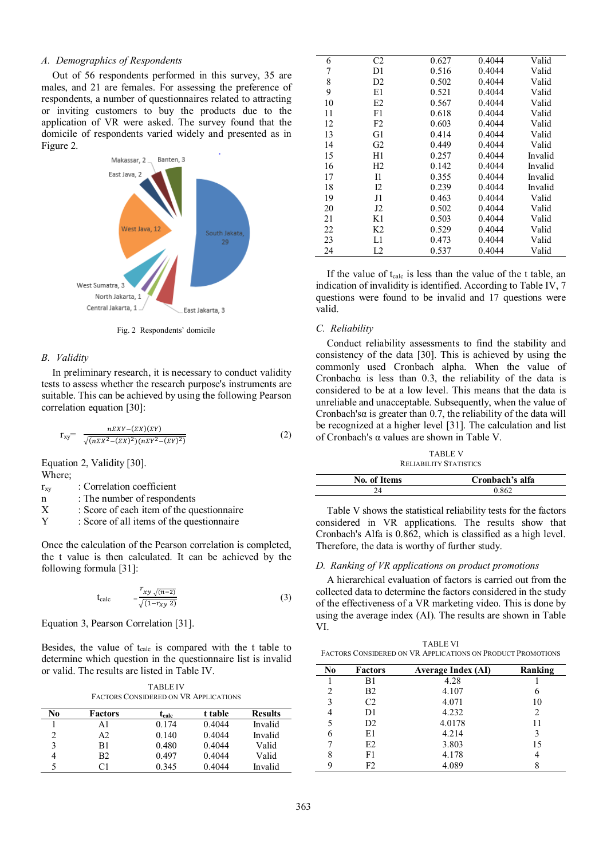### *A. Demographics of Respondents*

Out of 56 respondents performed in this survey, 35 are males, and 21 are females. For assessing the preference of respondents, a number of questionnaires related to attracting or inviting customers to buy the products due to the application of VR were asked. The survey found that the domicile of respondents varied widely and presented as in Figure 2.



Fig. 2 Respondents' domicile

#### *B. Validity*

In preliminary research, it is necessary to conduct validity tests to assess whether the research purpose's instruments are suitable. This can be achieved by using the following Pearson correlation equation [30]:

$$
r_{xy} = \frac{n\Sigma XY - (\Sigma X)(\Sigma Y)}{\sqrt{(n\Sigma X^2 - (\Sigma X)^2)(n\Sigma Y^2 - (\Sigma Y)^2)}}
$$
(2)

Equation 2, Validity [30]. Where;

r<sub>xy</sub> : Correlation coefficient

n : The number of respondents

- $X$  : Score of each item of the questionnaire<br> $Y$  : Score of all items of the questionnaire
- : Score of all items of the questionnaire

Once the calculation of the Pearson correlation is completed, the t value is then calculated. It can be achieved by the following formula [31]:

$$
t_{calc} = \frac{r_{xy}\sqrt{(n-2)}}{\sqrt{(1-r_{xy}\,2)}}
$$
\n(3)

Equation 3, Pearson Correlation [31].

Besides, the value of t<sub>calc</sub> is compared with the t table to determine which question in the questionnaire list is invalid or valid. The results are listed in Table IV.

| <b>TABLE IV</b>                              |  |
|----------------------------------------------|--|
| <b>FACTORS CONSIDERED ON VR APPLICATIONS</b> |  |

| No | Factors  | t <sub>calc</sub> | t table | <b>Results</b> |
|----|----------|-------------------|---------|----------------|
|    | A1       | 0.174             | 0.4044  | Invalid        |
| 2  | A2       | 0.140             | 0.4044  | Invalid        |
| 3  | B1       | 0.480             | 0.4044  | Valid          |
|    | B2.      | 0.497             | 0.4044  | Valid          |
|    | $\cap$ 1 | 0.345             | 0.4044  | Invalid        |

| 6  | C <sub>2</sub> | 0.627 | 0.4044 | Valid   |
|----|----------------|-------|--------|---------|
| 7  | D1             | 0.516 | 0.4044 | Valid   |
| 8  | D <sub>2</sub> | 0.502 | 0.4044 | Valid   |
| 9  | E1             | 0.521 | 0.4044 | Valid   |
| 10 | E2             | 0.567 | 0.4044 | Valid   |
| 11 | F1             | 0.618 | 0.4044 | Valid   |
| 12 | F <sub>2</sub> | 0.603 | 0.4044 | Valid   |
| 13 | G1             | 0.414 | 0.4044 | Valid   |
| 14 | G2             | 0.449 | 0.4044 | Valid   |
| 15 | H1             | 0.257 | 0.4044 | Invalid |
| 16 | H2             | 0.142 | 0.4044 | Invalid |
| 17 | 11             | 0.355 | 0.4044 | Invalid |
| 18 | I2             | 0.239 | 0.4044 | Invalid |
| 19 | J1             | 0.463 | 0.4044 | Valid   |
| 20 | J2             | 0.502 | 0.4044 | Valid   |
| 21 | K1             | 0.503 | 0.4044 | Valid   |
| 22 | K <sub>2</sub> | 0.529 | 0.4044 | Valid   |
| 23 | L1             | 0.473 | 0.4044 | Valid   |
| 24 | L2             | 0.537 | 0.4044 | Valid   |

If the value of  $t_{calc}$  is less than the value of the t table, an indication of invalidity is identified. According to Table IV, 7 questions were found to be invalid and 17 questions were valid.

#### *C. Reliability*

Conduct reliability assessments to find the stability and consistency of the data [30]. This is achieved by using the commonly used Cronbach alpha. When the value of Cronbachα is less than 0.3, the reliability of the data is considered to be at a low level. This means that the data is unreliable and unacceptable. Subsequently, when the value of Cronbach's $\alpha$  is greater than 0.7, the reliability of the data will be recognized at a higher level [31]. The calculation and list of Cronbach's α values are shown in Table V.

TABLE V RELIABILITY STATISTICS

| No. of Items | Cronbach's alfa |
|--------------|-----------------|
|              | 0.862           |

Table V shows the statistical reliability tests for the factors considered in VR applications. The results show that Cronbach's Alfa is 0.862, which is classified as a high level. Therefore, the data is worthy of further study.

### *D. Ranking of VR applications on product promotions*

A hierarchical evaluation of factors is carried out from the collected data to determine the factors considered in the study of the effectiveness of a VR marketing video. This is done by using the average index (AI). The results are shown in Table VI.

TABLE VI FACTORS CONSIDERED ON VR APPLICATIONS ON PRODUCT PROMOTIONS

| N <sub>0</sub> | Factors        | <b>Average Index (AI)</b> | Ranking |
|----------------|----------------|---------------------------|---------|
|                | B1             | 4.28                      |         |
| 2              | <b>B2</b>      | 4.107                     | 6       |
| 3              | C <sub>2</sub> | 4.071                     | 10      |
|                | D1             | 4.232                     | 2       |
|                | D <sub>2</sub> | 4.0178                    | 11      |
| 6              | E1             | 4.214                     | 3       |
|                | E2             | 3.803                     | 15      |
| 8              | F1             | 4.178                     | 4       |
| q              | F2             | 4.089                     |         |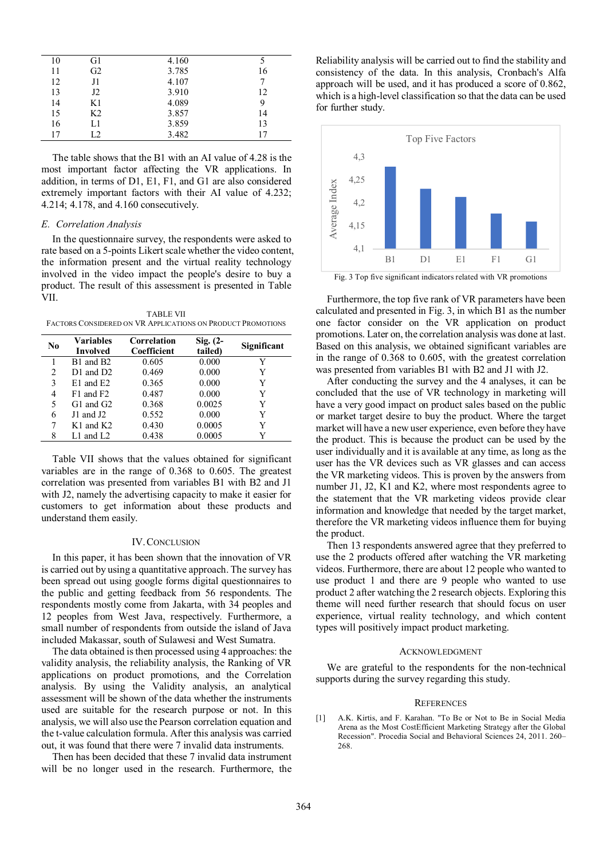| 10 | G1             | 4.160 |    |
|----|----------------|-------|----|
| 11 | G <sub>2</sub> | 3.785 | 16 |
| 12 | J1             | 4.107 |    |
| 13 | J2             | 3.910 | 12 |
| 14 | K1             | 4.089 | 9  |
| 15 | K2             | 3.857 | 14 |
| 16 | L1             | 3.859 | 13 |
| 17 | L2             | 3.482 | 17 |

The table shows that the B1 with an AI value of 4.28 is the most important factor affecting the VR applications. In addition, in terms of D1, E1, F1, and G1 are also considered extremely important factors with their AI value of 4.232; 4.214; 4.178, and 4.160 consecutively.

#### *E. Correlation Analysis*

In the questionnaire survey, the respondents were asked to rate based on a 5-points Likert scale whether the video content, the information present and the virtual reality technology involved in the video impact the people's desire to buy a product. The result of this assessment is presented in Table VII.

TABLE VII FACTORS CONSIDERED ON VR APPLICATIONS ON PRODUCT PROMOTIONS

| No | <b>Variables</b><br><b>Involved</b> | Correlation<br>Coefficient | $Sig. (2-$<br>tailed) | Significant |
|----|-------------------------------------|----------------------------|-----------------------|-------------|
|    | B1 and B2                           | 0.605                      | 0.000                 | Y           |
| 2  | $D1$ and $D2$ .                     | 0.469                      | 0.000                 | Y           |
| 3  | $E1$ and $E2$                       | 0.365                      | 0.000                 | Y           |
| 4  | $F1$ and $F2$                       | 0.487                      | 0.000                 | Y           |
| 5  | $G1$ and $G2$                       | 0.368                      | 0.0025                | Y           |
| 6  | J1 and J2                           | 0.552                      | 0.000                 | Y           |
| 7  | $K1$ and $K2$                       | 0.430                      | 0.0005                | Y           |
| 8  | $L1$ and $L2$                       | 0.438                      | 0.0005                |             |

Table VII shows that the values obtained for significant variables are in the range of 0.368 to 0.605. The greatest correlation was presented from variables B1 with B2 and J1 with J2, namely the advertising capacity to make it easier for customers to get information about these products and understand them easily.

### IV.CONCLUSION

In this paper, it has been shown that the innovation of VR is carried out by using a quantitative approach. The survey has been spread out using google forms digital questionnaires to the public and getting feedback from 56 respondents. The respondents mostly come from Jakarta, with 34 peoples and 12 peoples from West Java, respectively. Furthermore, a small number of respondents from outside the island of Java included Makassar, south of Sulawesi and West Sumatra.

The data obtained is then processed using 4 approaches: the validity analysis, the reliability analysis, the Ranking of VR applications on product promotions, and the Correlation analysis. By using the Validity analysis, an analytical assessment will be shown of the data whether the instruments used are suitable for the research purpose or not. In this analysis, we will also use the Pearson correlation equation and the t-value calculation formula. After this analysis was carried out, it was found that there were 7 invalid data instruments.

Then has been decided that these 7 invalid data instrument will be no longer used in the research. Furthermore, the Reliability analysis will be carried out to find the stability and consistency of the data. In this analysis, Cronbach's Alfa approach will be used, and it has produced a score of 0.862, which is a high-level classification so that the data can be used for further study.



Fig. 3 Top five significant indicators related with VR promotions

Furthermore, the top five rank of VR parameters have been calculated and presented in Fig. 3, in which B1 as the number one factor consider on the VR application on product promotions. Later on, the correlation analysis was done at last. Based on this analysis, we obtained significant variables are in the range of 0.368 to 0.605, with the greatest correlation was presented from variables B1 with B2 and J1 with J2.

After conducting the survey and the 4 analyses, it can be concluded that the use of VR technology in marketing will have a very good impact on product sales based on the public or market target desire to buy the product. Where the target market will have a new user experience, even before they have the product. This is because the product can be used by the user individually and it is available at any time, as long as the user has the VR devices such as VR glasses and can access the VR marketing videos. This is proven by the answers from number J1, J2, K1 and K2, where most respondents agree to the statement that the VR marketing videos provide clear information and knowledge that needed by the target market, therefore the VR marketing videos influence them for buying the product.

Then 13 respondents answered agree that they preferred to use the 2 products offered after watching the VR marketing videos. Furthermore, there are about 12 people who wanted to use product 1 and there are 9 people who wanted to use product 2 after watching the 2 research objects. Exploring this theme will need further research that should focus on user experience, virtual reality technology, and which content types will positively impact product marketing.

#### ACKNOWLEDGMENT

We are grateful to the respondents for the non-technical supports during the survey regarding this study.

#### **REFERENCES**

[1] A.K. Kirtis, and F. Karahan. "To Be or Not to Be in Social Media Arena as the Most CostEfficient Marketing Strategy after the Global Recession". Procedia Social and Behavioral Sciences 24, 2011. 260– 268.